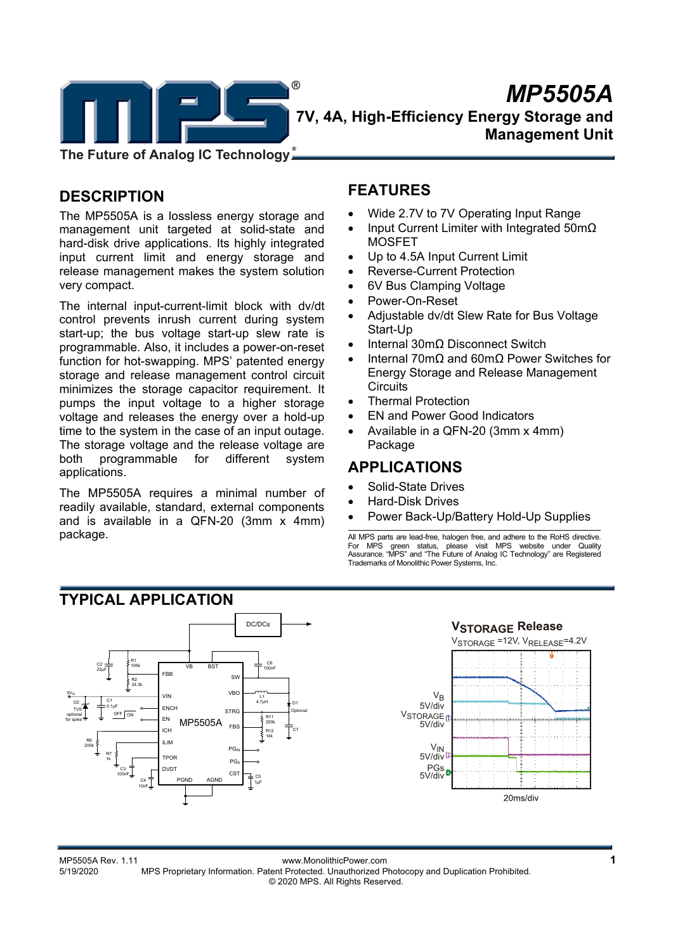

# $M\rightarrow MPS505A$  **7V, 4A, High-Efficiency Energy Storage and Management Unit**

**The Future of Analog IC Technology**

# **DESCRIPTION**

The MP5505A is a lossless energy storage and management unit targeted at solid-state and hard-disk drive applications. Its highly integrated input current limit and energy storage and release management makes the system solution very compact.

The internal input-current-limit block with dv/dt control prevents inrush current during system start-up; the bus voltage start-up slew rate is programmable. Also, it includes a power-on-reset function for hot-swapping. MPS' patented energy storage and release management control circuit minimizes the storage capacitor requirement. It pumps the input voltage to a higher storage voltage and releases the energy over a hold-up time to the system in the case of an input outage. The storage voltage and the release voltage are both programmable for different system applications.

The MP5505A requires a minimal number of readily available, standard, external components and is available in a QFN-20 (3mm x 4mm) package.

# **FEATURES**

- Wide 2.7V to 7V Operating Input Range
- Input Current Limiter with Integrated 50mΩ MOSFET
- Up to 4.5A Input Current Limit
- Reverse-Current Protection
- 6V Bus Clamping Voltage
- Power-On-Reset
- Adjustable dv/dt Slew Rate for Bus Voltage Start-Up
- Internal 30mΩ Disconnect Switch
- Internal 70mΩ and 60mΩ Power Switches for Energy Storage and Release Management **Circuits**
- Thermal Protection
- EN and Power Good Indicators
- Available in a QFN-20 (3mm x 4mm) Package

# **APPLICATIONS**

- Solid-State Drives
- Hard-Disk Drives
- Power Back-Up/Battery Hold-Up Supplies

All MPS parts are lead-free, halogen free, and adhere to the RoHS directive. For MPS green status, please visit MPS website under Quality Assurance. "MPS" and "The Future of Analog IC Technology" are Registered Trademarks of Monolithic Power Systems, Inc.



#### MP5505A Rev. 1.11 www.MonolithicPower.com **1** 5/19/2020 MPS Proprietary Information. Patent Protected. Unauthorized Photocopy and Duplication Prohibited. © 2020 MPS. All Rights Reserved.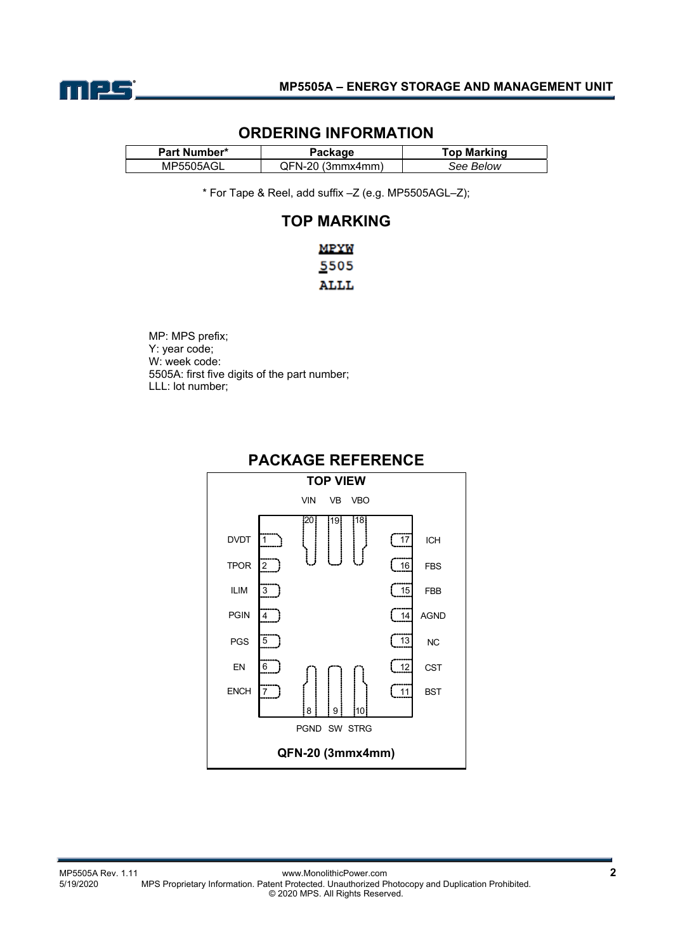

### **ORDERING INFORMATION**

| Part Number*     | $\mathsf{^o}$ ackage | <b>Top Marking</b> |
|------------------|----------------------|--------------------|
| <b>MP5505AGL</b> | QFN-20 (3mmx4mm)     | See Below          |

\* For Tape & Reel, add suffix –Z (e.g. MP5505AGL–Z);

### **TOP MARKING**

MP: MPS prefix; Y: year code; W: week code: 5505A: first five digits of the part number; LLL: lot number;



### **PACKAGE REFERENCE**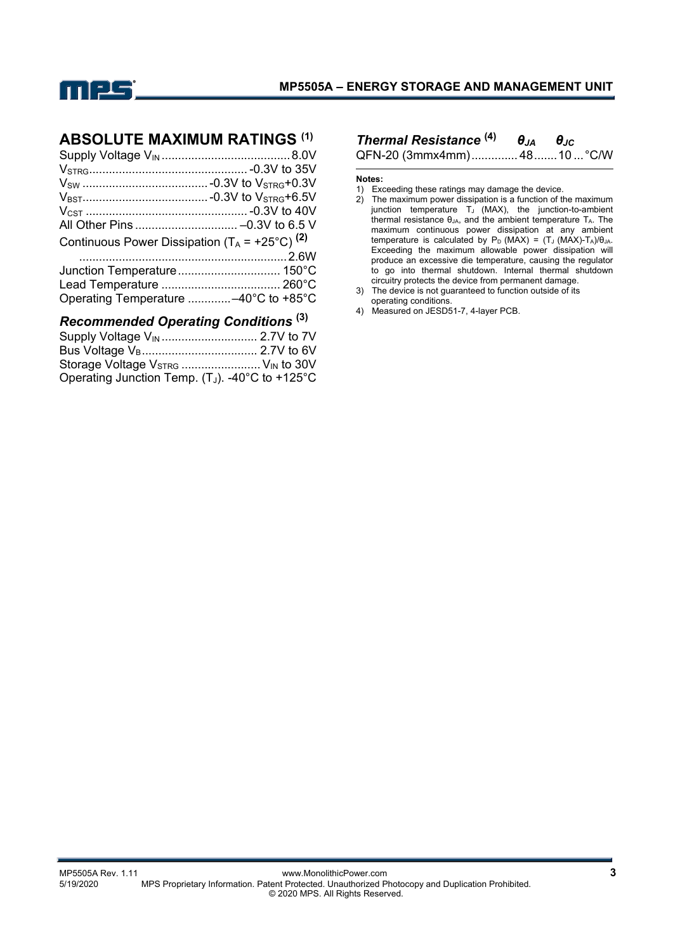

### **ABSOLUTE MAXIMUM RATINGS (1)**

| Continuous Power Dissipation $(T_A = +25^{\circ}C)^{(2)}$ |  |
|-----------------------------------------------------------|--|
|                                                           |  |
|                                                           |  |
|                                                           |  |
| Operating Temperature -40°C to +85°C                      |  |

### *Recommended Operating Conditions* **(3)**

| Storage Voltage $V_{STRG}$ $V_{IN}$ to 30V         |  |
|----------------------------------------------------|--|
| Operating Junction Temp. $(T_J)$ . -40°C to +125°C |  |

## *Thermal Resistance* **(4)** *θJA θJC*

QFN-20 (3mmx4mm) .............. 48 ....... 10 ... °C/W

#### **Notes:**

1) Exceeding these ratings may damage the device.

- 2) The maximum power dissipation is a function of the maximum junction temperature  $T_J$  (MAX), the junction-to-ambient thermal resistance  $θ<sub>JA</sub>$ , and the ambient temperature  $T_A$ . The maximum continuous power dissipation at any ambient temperature is calculated by  $P_D$  (MAX) = (T<sub>J</sub> (MAX)-T<sub>A</sub>)/ $\theta_{JA}$ . Exceeding the maximum allowable power dissipation will produce an excessive die temperature, causing the regulator to go into thermal shutdown. Internal thermal shutdown circuitry protects the device from permanent damage.
- 3) The device is not guaranteed to function outside of its operating conditions.
- 4) Measured on JESD51-7, 4-layer PCB.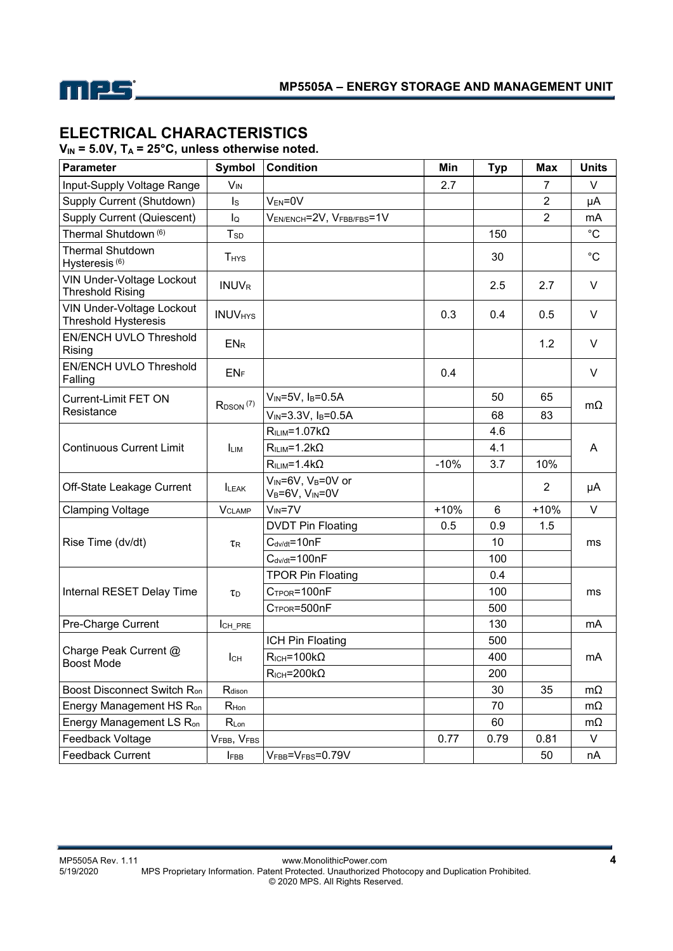

# **ELECTRICAL CHARACTERISTICS**

V<sub>IN</sub> = 5.0V, T<sub>A</sub> = 25°C, unless otherwise noted.

| <b>Parameter</b>                                                | Symbol                    | <b>Condition</b>                                                         | Min    | <b>Typ</b> | Max            | <b>Units</b> |
|-----------------------------------------------------------------|---------------------------|--------------------------------------------------------------------------|--------|------------|----------------|--------------|
| Input-Supply Voltage Range                                      | <b>V<sub>IN</sub></b>     |                                                                          | 2.7    |            | $\overline{7}$ | V            |
| Supply Current (Shutdown)                                       | $\mathsf{ls}$             | $V_{EN} = 0V$                                                            |        |            | $\overline{2}$ | μA           |
| Supply Current (Quiescent)                                      | lo                        | VEN/ENCH=2V, VFBB/FBS=1V                                                 |        |            | $\overline{2}$ | mA           |
| Thermal Shutdown <sup>(6)</sup>                                 | T <sub>SD</sub>           |                                                                          |        | 150        |                | $^{\circ}C$  |
| <b>Thermal Shutdown</b><br>Hysteresis <sup>(6)</sup>            | <b>T</b> <sub>HYS</sub>   |                                                                          |        | 30         |                | $^{\circ}C$  |
| <b>VIN Under-Voltage Lockout</b><br><b>Threshold Rising</b>     | <b>INUVR</b>              |                                                                          |        | 2.5        | 2.7            | V            |
| <b>VIN Under-Voltage Lockout</b><br><b>Threshold Hysteresis</b> | <b>INUV<sub>HYS</sub></b> |                                                                          | 0.3    | 0.4        | 0.5            | V            |
| <b>EN/ENCH UVLO Threshold</b><br>Rising                         | EN <sub>R</sub>           |                                                                          |        |            | 1.2            | V            |
| EN/ENCH UVLO Threshold<br>Falling                               | ENF                       |                                                                          | 0.4    |            |                | V            |
| Current-Limit FET ON                                            | $R_{DSON}$ $(7)$          | $V_{IN} = 5V$ , $I_B = 0.5A$                                             |        | 50         | 65             |              |
| Resistance                                                      |                           | $V_{IN} = 3.3V, I_B = 0.5A$                                              |        | 68         | 83             | $m\Omega$    |
|                                                                 |                           | $RILIM=1.07k\Omega$                                                      |        | 4.6        |                |              |
| <b>Continuous Current Limit</b>                                 | <b>LIM</b>                | $RILIM=1.2k\Omega$                                                       |        | 4.1        |                | A            |
|                                                                 |                           | $R_{ILIM} = 1.4 k\Omega$                                                 | $-10%$ | 3.7        | 10%            |              |
| Off-State Leakage Current                                       | <b>ILEAK</b>              | V <sub>IN</sub> =6V, V <sub>B</sub> =0V or<br>$V_B = 6V$ , $V_{IN} = 0V$ |        |            | $\overline{2}$ | μA           |
| <b>Clamping Voltage</b>                                         | <b>VCLAMP</b>             | $V_{IN} = 7V$                                                            | $+10%$ | 6          | $+10%$         | $\vee$       |
|                                                                 |                           | <b>DVDT Pin Floating</b>                                                 | 0.5    | 0.9        | 1.5            |              |
| Rise Time (dv/dt)                                               | <b>TR</b>                 | $C_{\text{dv/dt}} = 10nF$                                                |        | 10         |                | ms           |
|                                                                 |                           | $C_{\text{d}v/dt}$ =100nF                                                |        | 100        |                |              |
|                                                                 |                           | <b>TPOR Pin Floating</b>                                                 |        | 0.4        |                |              |
| Internal RESET Delay Time                                       | $\tau_D$                  | $C_{TPOR} = 100nF$                                                       |        | 100        |                | ms           |
|                                                                 |                           | CTPOR=500nF                                                              |        | 500        |                |              |
| Pre-Charge Current                                              | ICH_PRE                   |                                                                          |        | 130        |                | mA           |
| Charge Peak Current @                                           |                           | ICH Pin Floating                                                         |        | 500        |                |              |
| Boost Mode                                                      | Iсн                       | $R_{\text{ICH}} = 100 \text{k}\Omega$                                    |        | 400        |                | mA           |
|                                                                 |                           | $R_{\text{ICH}} = 200 \text{k}\Omega$                                    |        | 200        |                |              |
| Boost Disconnect Switch R <sub>on</sub>                         | R <sub>dison</sub>        |                                                                          |        | 30         | 35             | mΩ           |
| Energy Management HS R <sub>on</sub>                            | R <sub>Hon</sub>          |                                                                          |        | 70         |                | $m\Omega$    |
| Energy Management LS R <sub>on</sub>                            | $R_{Lon}$                 |                                                                          |        | 60         |                | $m\Omega$    |
| Feedback Voltage                                                | VFBB, VFBS                |                                                                          | 0.77   | 0.79       | 0.81           | V            |
| <b>Feedback Current</b>                                         | <b>I</b> FBB              | VFBB=VFBS=0.79V                                                          |        |            | 50             | nA           |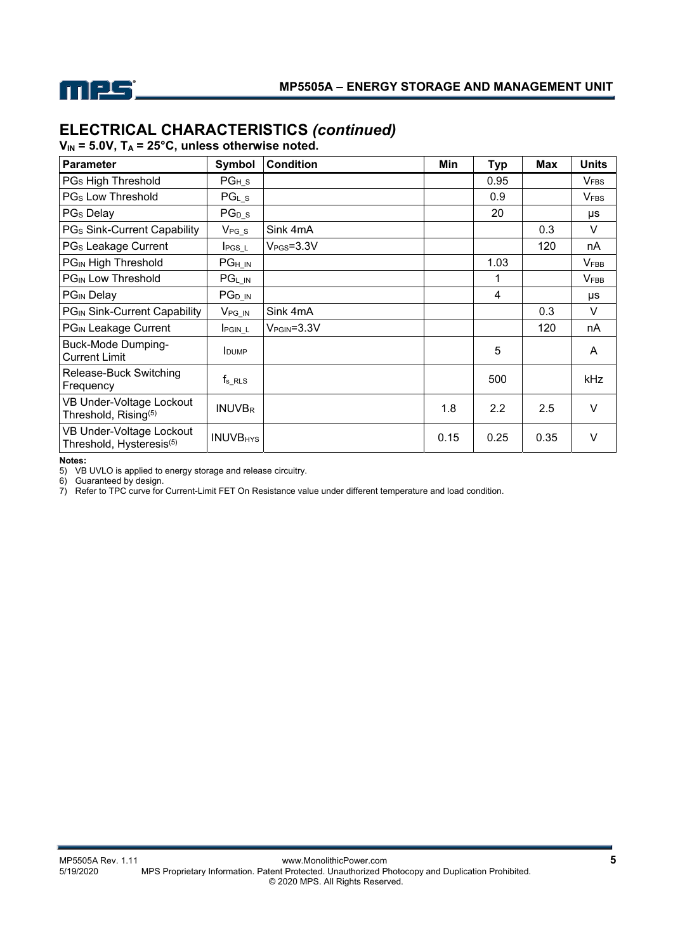

# **ELECTRICAL CHARACTERISTICS** *(continued)*

 $V_{IN}$  = 5.0V,  $T_A$  = 25°C, unless otherwise noted.

| Parameter                                                        | Symbol                             | <b>Condition</b> | Min  | <b>Typ</b> | <b>Max</b> | <b>Units</b> |
|------------------------------------------------------------------|------------------------------------|------------------|------|------------|------------|--------------|
| PG <sub>s</sub> High Threshold                                   | $PG_{H_S}$                         |                  |      | 0.95       |            | <b>VFBS</b>  |
| PG <sub>s</sub> Low Threshold                                    | $PGL_S$                            |                  |      | 0.9        |            | <b>VFBS</b>  |
| PG <sub>s</sub> Delay                                            | $PG_{D_S}$                         |                  |      | 20         |            | μs           |
| PGs Sink-Current Capability                                      | $V_{PG_S}$                         | Sink 4mA         |      |            | 0.3        | V            |
| PG <sub>s</sub> Leakage Current                                  | $I_{PGS_l}$                        | $VPS=3.3V$       |      |            | 120        | nA           |
| PGIN High Threshold                                              | $PG_{H\underline{\hspace{1pt}} N}$ |                  |      | 1.03       |            | <b>VFBB</b>  |
| <b>PG<sub>IN</sub></b> Low Threshold                             | $PG_{L\_IN}$                       |                  |      | 1          |            | <b>VFBB</b>  |
| PG <sub>IN</sub> Delay                                           | $PG_{D\_IN}$                       |                  |      | 4          |            | μs           |
| PGIN Sink-Current Capability                                     | $V_{PG\_IN}$                       | Sink 4mA         |      |            | 0.3        | V            |
| PG <sub>IN</sub> Leakage Current                                 | <b>PGIN_L</b>                      | $VPGIN=3.3V$     |      |            | 120        | nA           |
| <b>Buck-Mode Dumping-</b><br><b>Current Limit</b>                | <b>IDUMP</b>                       |                  |      | 5          |            | A            |
| Release-Buck Switching<br>Frequency                              | $f_s$ RLS                          |                  |      | 500        |            | kHz          |
| VB Under-Voltage Lockout<br>Threshold, Rising <sup>(5)</sup>     | <b>INUVBR</b>                      |                  | 1.8  | 2.2        | 2.5        | V            |
| VB Under-Voltage Lockout<br>Threshold, Hysteresis <sup>(5)</sup> | <b>INUVB<sub>HYS</sub></b>         |                  | 0.15 | 0.25       | 0.35       | $\vee$       |

**Notes:** 

5) VB UVLO is applied to energy storage and release circuitry.

6) Guaranteed by design.

7) Refer to TPC curve for Current-Limit FET On Resistance value under different temperature and load condition.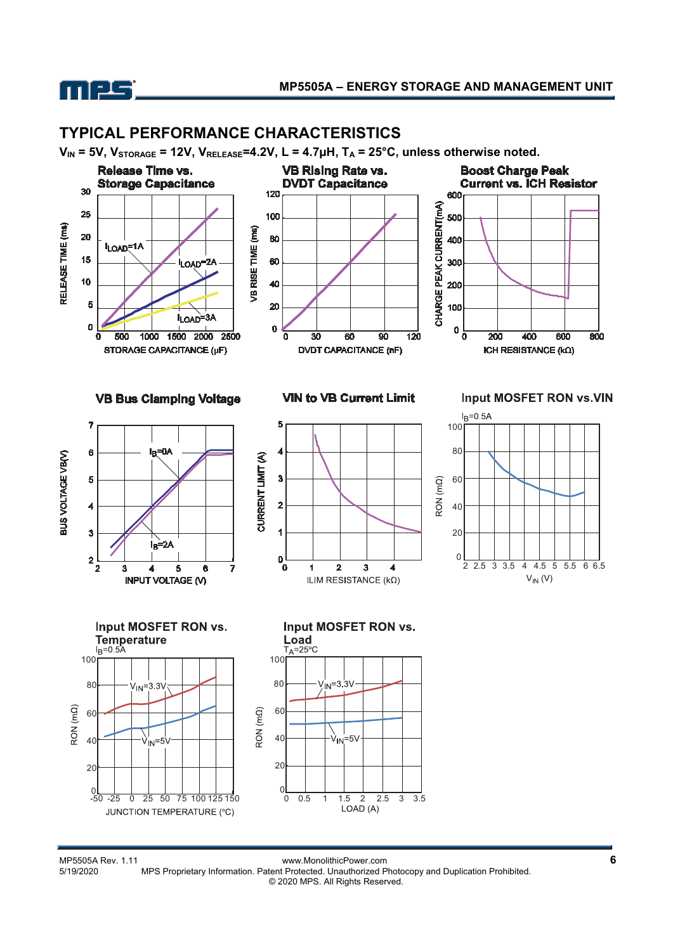

## **TYPICAL PERFORMANCE CHARACTERISTICS**

 $V_{IN}$  = 5V,  $V_{STORAGE}$  = 12V,  $V_{RELEASE}$ =4.2V, L = 4.7 $\mu$ H, T<sub>A</sub> = 25°C, unless otherwise noted.



MP5505A Rev. 1.11<br>5/19/2020 MPS Proprietary Information. Patent Protected. Unauthorized Photocopy and Duplication Prohibited. MPS Proprietary Information. Patent Protected. Unauthorized Photocopy and Duplication Prohibited. © 2020 MPS. All Rights Reserved.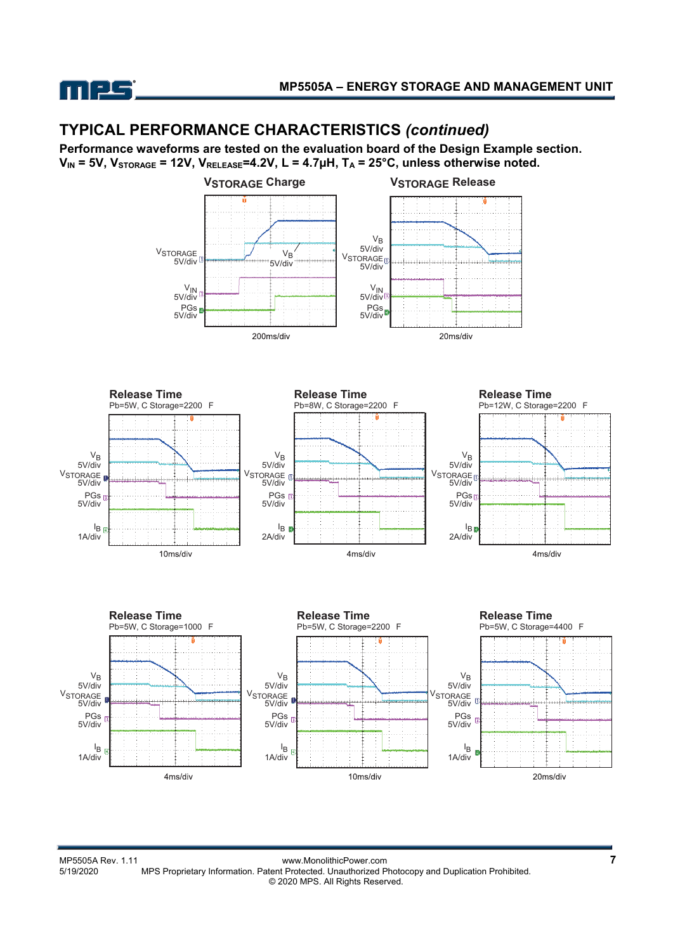

# **TYPICAL PERFORMANCE CHARACTERISTICS** *(continued)*

**Performance waveforms are tested on the evaluation board of the Design Example section.**  V<sub>IN</sub> = 5V, V<sub>STORAGE</sub> = 12V, V<sub>RELEASE</sub>=4.2V, L = 4.7µH, T<sub>A</sub> = 25°C, unless otherwise noted.





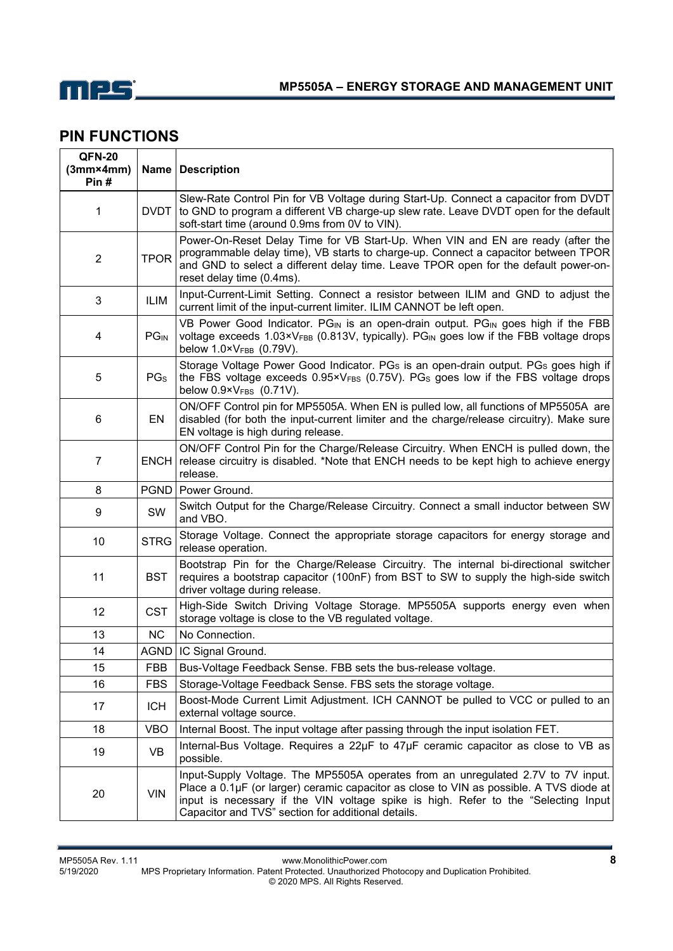

# **PIN FUNCTIONS**

| <b>QFN-20</b><br>$(3mm \times 4mm)$<br>Pin# |                        | Name   Description                                                                                                                                                                                                                                                                                                      |  |  |
|---------------------------------------------|------------------------|-------------------------------------------------------------------------------------------------------------------------------------------------------------------------------------------------------------------------------------------------------------------------------------------------------------------------|--|--|
| 1                                           | <b>DVDT</b>            | Slew-Rate Control Pin for VB Voltage during Start-Up. Connect a capacitor from DVDT<br>to GND to program a different VB charge-up slew rate. Leave DVDT open for the default<br>soft-start time (around 0.9ms from 0V to VIN).                                                                                          |  |  |
| $\overline{2}$                              | <b>TPOR</b>            | Power-On-Reset Delay Time for VB Start-Up. When VIN and EN are ready (after the<br>programmable delay time), VB starts to charge-up. Connect a capacitor between TPOR<br>and GND to select a different delay time. Leave TPOR open for the default power-on-<br>reset delay time (0.4ms).                               |  |  |
| $\mathbf{3}$                                | <b>ILIM</b>            | Input-Current-Limit Setting. Connect a resistor between ILIM and GND to adjust the<br>current limit of the input-current limiter. ILIM CANNOT be left open.                                                                                                                                                             |  |  |
| 4                                           | <b>PG<sub>IN</sub></b> | VB Power Good Indicator. PGIN is an open-drain output. PGIN goes high if the FBB<br>voltage exceeds 1.03×VFBB (0.813V, typically). PGIN goes low if the FBB voltage drops<br>below 1.0×VFBB (0.79V).                                                                                                                    |  |  |
| 5                                           | PG <sub>S</sub>        | Storage Voltage Power Good Indicator. PGs is an open-drain output. PGs goes high if<br>the FBS voltage exceeds $0.95 \times V_{FBS}$ (0.75V). PGs goes low if the FBS voltage drops<br>below $0.9 \times V_{FBS}$ (0.71V).                                                                                              |  |  |
| 6                                           | EN                     | ON/OFF Control pin for MP5505A. When EN is pulled low, all functions of MP5505A are<br>disabled (for both the input-current limiter and the charge/release circuitry). Make sure<br>EN voltage is high during release.                                                                                                  |  |  |
| $\overline{7}$                              |                        | ON/OFF Control Pin for the Charge/Release Circuitry. When ENCH is pulled down, the<br>ENCH release circuitry is disabled. *Note that ENCH needs to be kept high to achieve energy<br>release.                                                                                                                           |  |  |
| 8                                           |                        | PGND   Power Ground.                                                                                                                                                                                                                                                                                                    |  |  |
| 9                                           | SW                     | Switch Output for the Charge/Release Circuitry. Connect a small inductor between SW<br>and VBO.                                                                                                                                                                                                                         |  |  |
| 10                                          | <b>STRG</b>            | Storage Voltage. Connect the appropriate storage capacitors for energy storage and<br>release operation.                                                                                                                                                                                                                |  |  |
| 11                                          | <b>BST</b>             | Bootstrap Pin for the Charge/Release Circuitry. The internal bi-directional switcher<br>requires a bootstrap capacitor (100nF) from BST to SW to supply the high-side switch<br>driver voltage during release.                                                                                                          |  |  |
| 12                                          | <b>CST</b>             | High-Side Switch Driving Voltage Storage. MP5505A supports energy even when<br>storage voltage is close to the VB regulated voltage.                                                                                                                                                                                    |  |  |
| 13                                          | NC.                    | No Connection.                                                                                                                                                                                                                                                                                                          |  |  |
| 14                                          |                        | AGND   IC Signal Ground.                                                                                                                                                                                                                                                                                                |  |  |
| 15                                          | FBB                    | Bus-Voltage Feedback Sense. FBB sets the bus-release voltage.                                                                                                                                                                                                                                                           |  |  |
| 16                                          | <b>FBS</b>             | Storage-Voltage Feedback Sense. FBS sets the storage voltage.                                                                                                                                                                                                                                                           |  |  |
| 17                                          | <b>ICH</b>             | Boost-Mode Current Limit Adjustment. ICH CANNOT be pulled to VCC or pulled to an<br>external voltage source.                                                                                                                                                                                                            |  |  |
| 18                                          | <b>VBO</b>             | Internal Boost. The input voltage after passing through the input isolation FET.                                                                                                                                                                                                                                        |  |  |
| 19                                          | VB                     | Internal-Bus Voltage. Requires a 22µF to 47µF ceramic capacitor as close to VB as<br>possible.                                                                                                                                                                                                                          |  |  |
| 20                                          | <b>VIN</b>             | Input-Supply Voltage. The MP5505A operates from an unregulated 2.7V to 7V input.<br>Place a 0.1µF (or larger) ceramic capacitor as close to VIN as possible. A TVS diode at<br>input is necessary if the VIN voltage spike is high. Refer to the "Selecting Input<br>Capacitor and TVS" section for additional details. |  |  |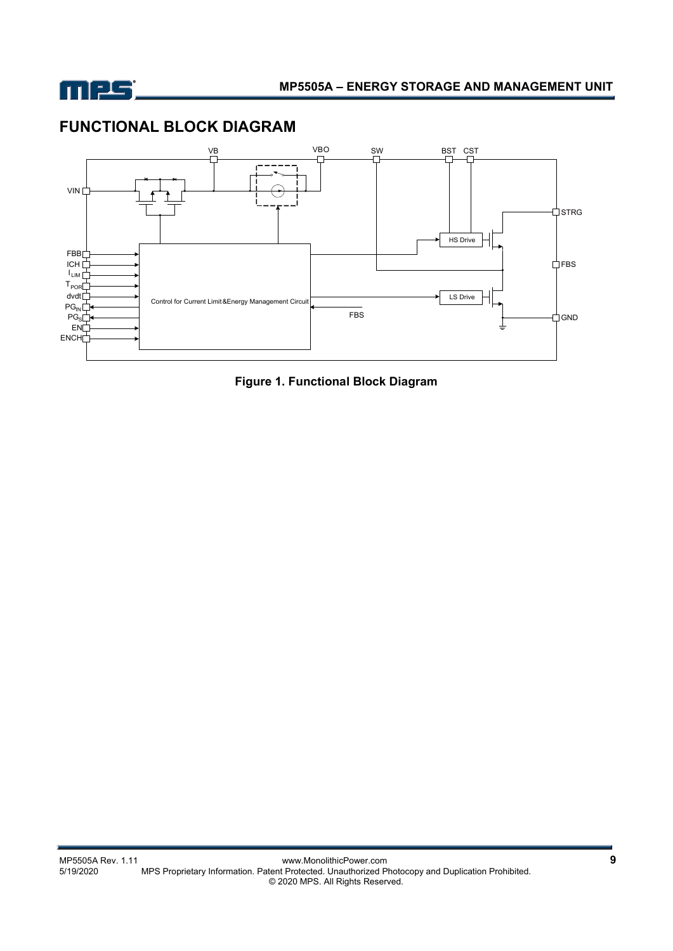

# **FUNCTIONAL BLOCK DIAGRAM**



**Figure 1. Functional Block Diagram**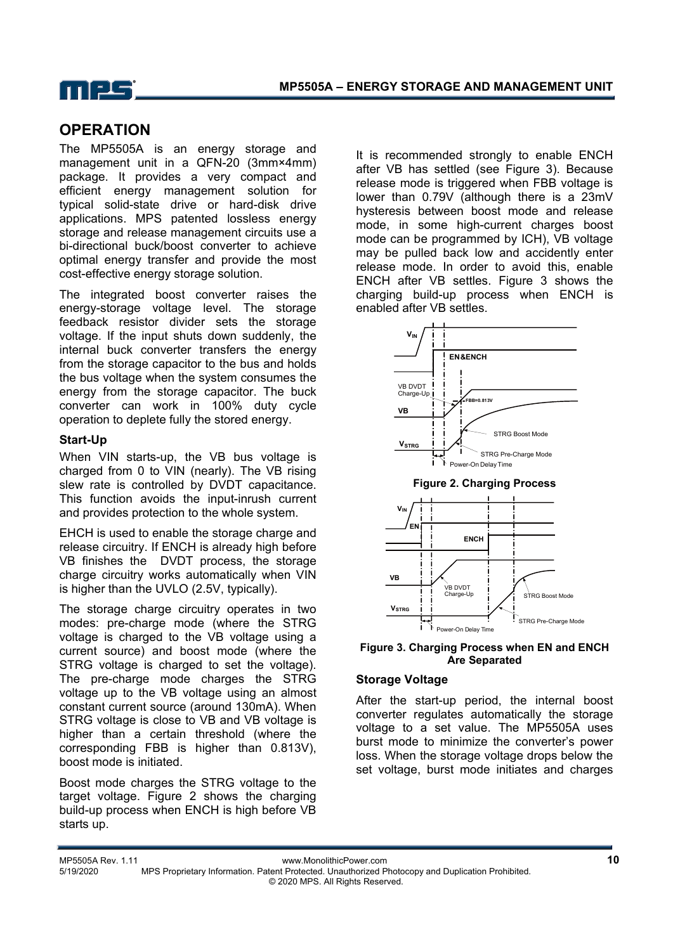

## **OPERATION**

The MP5505A is an energy storage and management unit in a QFN-20 (3mm×4mm) package. It provides a very compact and efficient energy management solution for typical solid-state drive or hard-disk drive applications. MPS patented lossless energy storage and release management circuits use a bi-directional buck/boost converter to achieve optimal energy transfer and provide the most cost-effective energy storage solution.

The integrated boost converter raises the energy-storage voltage level. The storage feedback resistor divider sets the storage voltage. If the input shuts down suddenly, the internal buck converter transfers the energy from the storage capacitor to the bus and holds the bus voltage when the system consumes the energy from the storage capacitor. The buck converter can work in 100% duty cycle operation to deplete fully the stored energy.

#### **Start-Up**

When VIN starts-up, the VB bus voltage is charged from 0 to VIN (nearly). The VB rising slew rate is controlled by DVDT capacitance. This function avoids the input-inrush current and provides protection to the whole system.

EHCH is used to enable the storage charge and release circuitry. If ENCH is already high before VB finishes the DVDT process, the storage charge circuitry works automatically when VIN is higher than the UVLO (2.5V, typically).

The storage charge circuitry operates in two modes: pre-charge mode (where the STRG voltage is charged to the VB voltage using a current source) and boost mode (where the STRG voltage is charged to set the voltage). The pre-charge mode charges the STRG voltage up to the VB voltage using an almost constant current source (around 130mA). When STRG voltage is close to VB and VB voltage is higher than a certain threshold (where the corresponding FBB is higher than 0.813V), boost mode is initiated.

Boost mode charges the STRG voltage to the target voltage. Figure 2 shows the charging build-up process when ENCH is high before VB starts up.

It is recommended strongly to enable ENCH after VB has settled (see Figure 3). Because release mode is triggered when FBB voltage is lower than 0.79V (although there is a 23mV hysteresis between boost mode and release mode, in some high-current charges boost mode can be programmed by ICH), VB voltage may be pulled back low and accidently enter release mode. In order to avoid this, enable ENCH after VB settles. Figure 3 shows the charging build-up process when ENCH is enabled after VB settles.



#### **Figure 3. Charging Process when EN and ENCH Are Separated**

#### **Storage Voltage**

After the start-up period, the internal boost converter regulates automatically the storage voltage to a set value. The MP5505A uses burst mode to minimize the converter's power loss. When the storage voltage drops below the set voltage, burst mode initiates and charges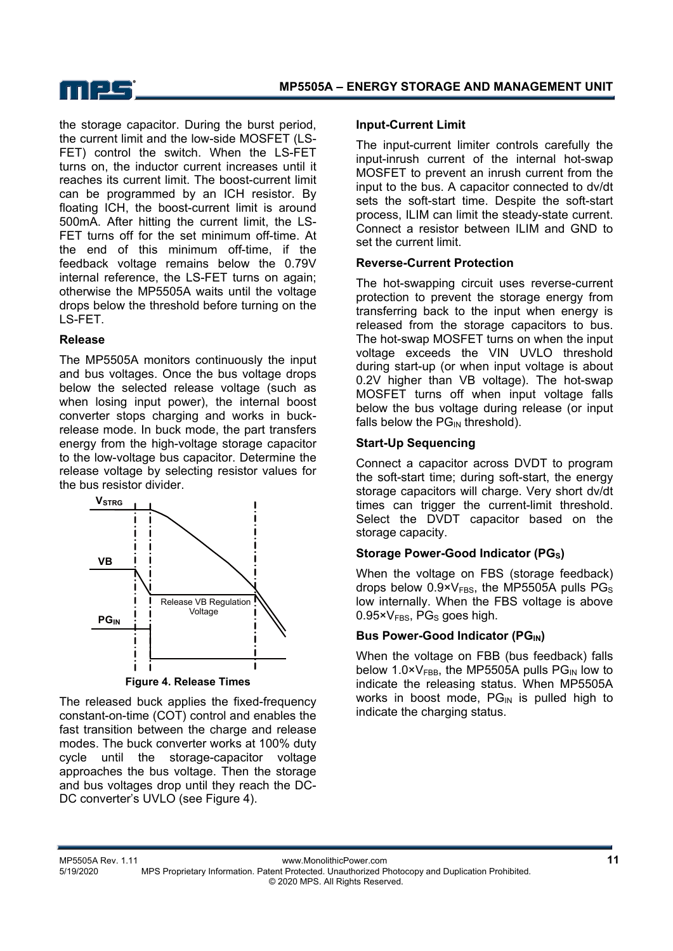

the storage capacitor. During the burst period, the current limit and the low-side MOSFET (LS-FET) control the switch. When the LS-FET turns on, the inductor current increases until it reaches its current limit. The boost-current limit can be programmed by an ICH resistor. By floating ICH, the boost-current limit is around 500mA. After hitting the current limit, the LS-FET turns off for the set minimum off-time. At the end of this minimum off-time, if the feedback voltage remains below the 0.79V internal reference, the LS-FET turns on again; otherwise the MP5505A waits until the voltage drops below the threshold before turning on the LS-FET.

#### **Release**

The MP5505A monitors continuously the input and bus voltages. Once the bus voltage drops below the selected release voltage (such as when losing input power), the internal boost converter stops charging and works in buckrelease mode. In buck mode, the part transfers energy from the high-voltage storage capacitor to the low-voltage bus capacitor. Determine the release voltage by selecting resistor values for the bus resistor divider.



**Figure 4. Release Times** 

The released buck applies the fixed-frequency constant-on-time (COT) control and enables the fast transition between the charge and release modes. The buck converter works at 100% duty cycle until the storage-capacitor voltage approaches the bus voltage. Then the storage and bus voltages drop until they reach the DC-DC converter's UVLO (see Figure 4).

#### **Input-Current Limit**

The input-current limiter controls carefully the input-inrush current of the internal hot-swap MOSFET to prevent an inrush current from the input to the bus. A capacitor connected to dv/dt sets the soft-start time. Despite the soft-start process, ILIM can limit the steady-state current. Connect a resistor between ILIM and GND to set the current limit.

#### **Reverse-Current Protection**

The hot-swapping circuit uses reverse-current protection to prevent the storage energy from transferring back to the input when energy is released from the storage capacitors to bus. The hot-swap MOSFET turns on when the input voltage exceeds the VIN UVLO threshold during start-up (or when input voltage is about 0.2V higher than VB voltage). The hot-swap MOSFET turns off when input voltage falls below the bus voltage during release (or input falls below the  $PG_{IN}$  threshold).

### **Start-Up Sequencing**

Connect a capacitor across DVDT to program the soft-start time; during soft-start, the energy storage capacitors will charge. Very short dv/dt times can trigger the current-limit threshold. Select the DVDT capacitor based on the storage capacity.

### **Storage Power-Good Indicator (PGs)**

When the voltage on FBS (storage feedback) drops below  $0.9 \times V_{FBS}$ , the MP5505A pulls PGs low internally. When the FBS voltage is above  $0.95 \times V_{FBS}$ , PG<sub>s</sub> goes high.

### **Bus Power-Good Indicator (PGIN)**

When the voltage on FBB (bus feedback) falls below 1.0× $V_{FBB}$ , the MP5505A pulls PG<sub>IN</sub> low to indicate the releasing status. When MP5505A works in boost mode,  $PG_{IN}$  is pulled high to indicate the charging status.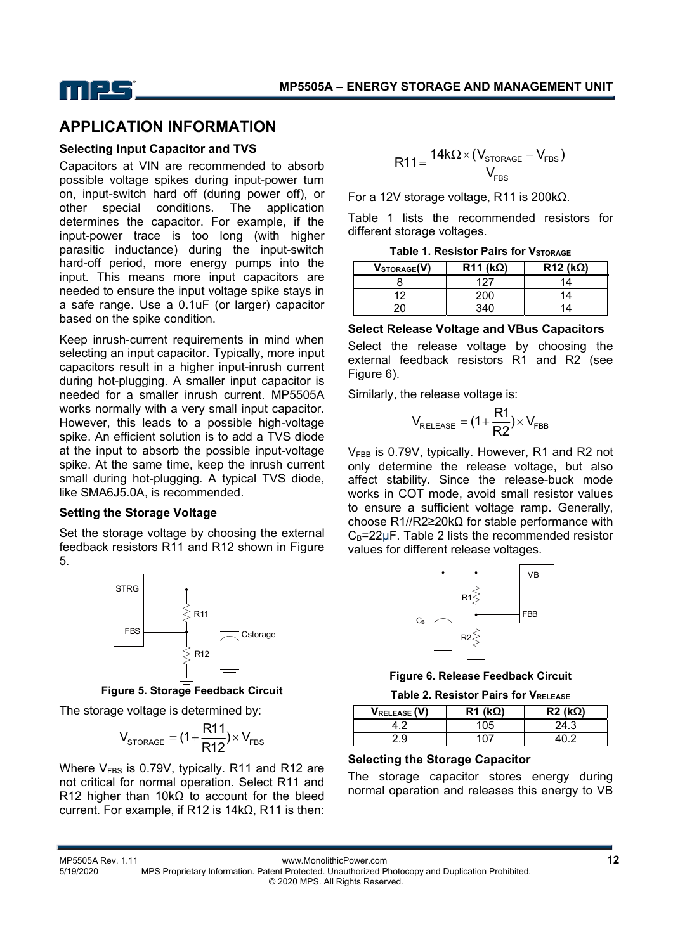

### **APPLICATION INFORMATION**

#### **Selecting Input Capacitor and TVS**

Capacitors at VIN are recommended to absorb possible voltage spikes during input-power turn on, input-switch hard off (during power off), or other special conditions. The application determines the capacitor. For example, if the input-power trace is too long (with higher parasitic inductance) during the input-switch hard-off period, more energy pumps into the input. This means more input capacitors are needed to ensure the input voltage spike stays in a safe range. Use a 0.1uF (or larger) capacitor based on the spike condition.

Keep inrush-current requirements in mind when selecting an input capacitor. Typically, more input capacitors result in a higher input-inrush current during hot-plugging. A smaller input capacitor is needed for a smaller inrush current. MP5505A works normally with a very small input capacitor. However, this leads to a possible high-voltage spike. An efficient solution is to add a TVS diode at the input to absorb the possible input-voltage spike. At the same time, keep the inrush current small during hot-plugging. A typical TVS diode, like SMA6J5.0A, is recommended.

#### **Setting the Storage Voltage**

Set the storage voltage by choosing the external feedback resistors R11 and R12 shown in Figure 5.



**Figure 5. Storage Feedback Circuit** 

The storage voltage is determined by:

$$
V_{\text{STORAGE}} = (1 + \frac{R11}{R12}) \times V_{\text{FBS}}
$$

Where  $V_{FBS}$  is 0.79V, typically. R11 and R12 are not critical for normal operation. Select R11 and R12 higher than 10kΩ to account for the bleed current. For example, if R12 is 14kΩ, R11 is then:

$$
R11 = \frac{14k\Omega \times (V_{\text{STORAGE}} - V_{\text{FBS}})}{V_{\text{FBS}}}
$$

For a 12V storage voltage, R11 is 200kΩ.

Table 1 lists the recommended resistors for different storage voltages.

| VSTORAGE(V) | $R11 (k\Omega)$ | $R12 (k\Omega)$ |
|-------------|-----------------|-----------------|
|             |                 |                 |
|             | 200             |                 |
|             |                 |                 |

#### **Select Release Voltage and VBus Capacitors**

Select the release voltage by choosing the external feedback resistors R1 and R2 (see Figure 6).

Similarly, the release voltage is:

$$
V_{RELEASE} = (1 + \frac{R1}{R2}) \times V_{FBB}
$$

 $V_{FBR}$  is 0.79V, typically. However, R1 and R2 not only determine the release voltage, but also affect stability. Since the release-buck mode works in COT mode, avoid small resistor values to ensure a sufficient voltage ramp. Generally, choose R1//R2≥20kΩ for stable performance with  $C_B = 22\mu F$ . Table 2 lists the recommended resistor values for different release voltages.



**Figure 6. Release Feedback Circuit** 

| <b>Table 2. Resistor Pairs for VRELEASE</b> |
|---------------------------------------------|
|---------------------------------------------|

| <b>VRELEASE (V)</b> | $R1$ (k $\Omega$ ) | $R2$ (kΩ) |
|---------------------|--------------------|-----------|
|                     |                    | 24.3      |
| <u>, g</u>          |                    |           |

#### **Selecting the Storage Capacitor**

The storage capacitor stores energy during normal operation and releases this energy to VB

MP5505A Rev. 1.11 www.MonolithicPower.com **12** 5/19/2020 MPS Proprietary Information. Patent Protected. Unauthorized Photocopy and Duplication Prohibited. © 2020 MPS. All Rights Reserved.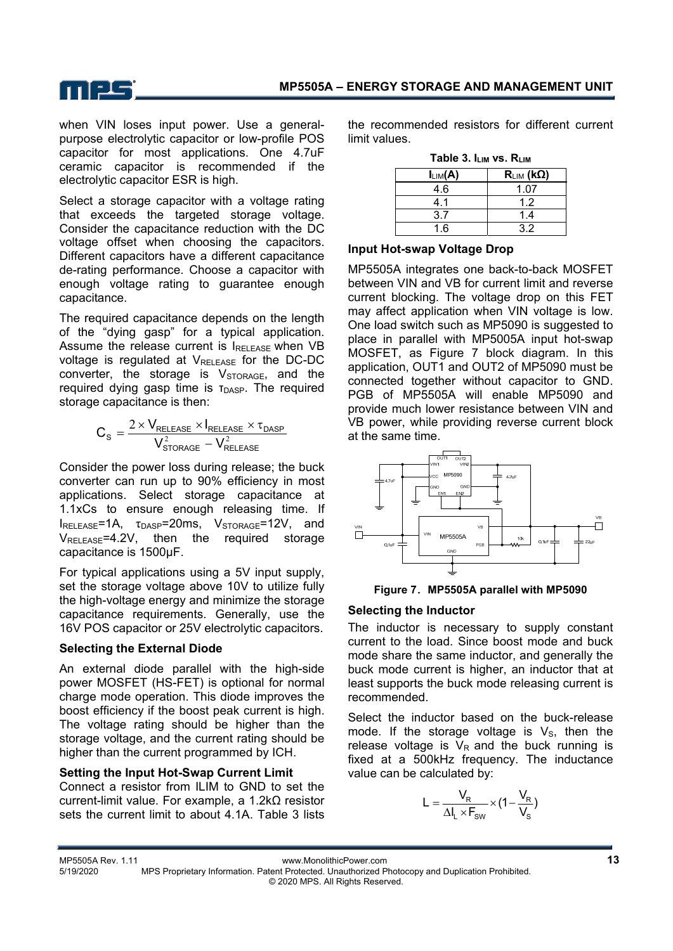

when VIN loses input power. Use a generalpurpose electrolytic capacitor or low-profile POS capacitor for most applications. One 4.7uF ceramic capacitor is recommended if the electrolytic capacitor ESR is high.

Select a storage capacitor with a voltage rating that exceeds the targeted storage voltage. Consider the capacitance reduction with the DC voltage offset when choosing the capacitors. Different capacitors have a different capacitance de-rating performance. Choose a capacitor with enough voltage rating to guarantee enough capacitance.

The required capacitance depends on the length of the "dying gasp" for a typical application. Assume the release current is IRELEASE when VB voltage is regulated at  $V_{\text{RELEASE}}$  for the DC-DC converter, the storage is  $V<sub>STORAGE</sub>$ , and the required dying gasp time is τ<sub>DASP</sub>. The required storage capacitance is then:

$$
C_{\text{S}} = \frac{2 \times V_{\text{RELEASE}} \times I_{\text{RELEASE}} \times \tau_{\text{DASP}}}{V_{\text{STORAGE}}^2 - V_{\text{RELEASE}}^2}
$$

Consider the power loss during release; the buck converter can run up to 90% efficiency in most applications. Select storage capacitance at 1.1xCs to ensure enough releasing time. If  $I_{RELEASE}$ =1A,  $\tau_{DASP}$ =20ms,  $V_{STORAGE}$ =12V, and  $V_{\text{RFI FASF}} = 4.2V$ , then the required storage capacitance is 1500μF.

For typical applications using a 5V input supply, set the storage voltage above 10V to utilize fully the high-voltage energy and minimize the storage capacitance requirements. Generally, use the 16V POS capacitor or 25V electrolytic capacitors.

### **Selecting the External Diode**

An external diode parallel with the high-side power MOSFET (HS-FET) is optional for normal charge mode operation. This diode improves the boost efficiency if the boost peak current is high. The voltage rating should be higher than the storage voltage, and the current rating should be higher than the current programmed by ICH.

### **Setting the Input Hot-Swap Current Limit**

Connect a resistor from ILIM to GND to set the current-limit value. For example, a 1.2kΩ resistor sets the current limit to about 4.1A. Table 3 lists the recommended resistors for different current limit values.

| -------      |                         |  |
|--------------|-------------------------|--|
| $I_{LIM}(A)$ | $R_{LIM}$ (k $\Omega$ ) |  |
| 4.6          | 1.07                    |  |
| 41           | 1.2                     |  |
| 3.7          | 1.4                     |  |
| 1.6          | 32                      |  |

#### **Input Hot-swap Voltage Drop**

MP5505A integrates one back-to-back MOSFET between VIN and VB for current limit and reverse current blocking. The voltage drop on this FET may affect application when VIN voltage is low. One load switch such as MP5090 is suggested to place in parallel with MP5005A input hot-swap MOSFET, as Figure 7 block diagram. In this application, OUT1 and OUT2 of MP5090 must be connected together without capacitor to GND. PGB of MP5505A will enable MP5090 and provide much lower resistance between VIN and VB power, while providing reverse current block at the same time.





### **Selecting the Inductor**

The inductor is necessary to supply constant current to the load. Since boost mode and buck mode share the same inductor, and generally the buck mode current is higher, an inductor that at least supports the buck mode releasing current is recommended.

Select the inductor based on the buck-release mode. If the storage voltage is  $V_s$ , then the release voltage is  $V_R$  and the buck running is fixed at a 500kHz frequency. The inductance value can be calculated by:

$$
L = \frac{V_R}{\Delta I_L \times F_{sw}} \times (1 - \frac{V_R}{V_s})
$$

MP5505A Rev. 1.11 www.MonolithicPower.com **13**

5/19/2020 MPS Proprietary Information. Patent Protected. Unauthorized Photocopy and Duplication Prohibited. © 2020 MPS. All Rights Reserved.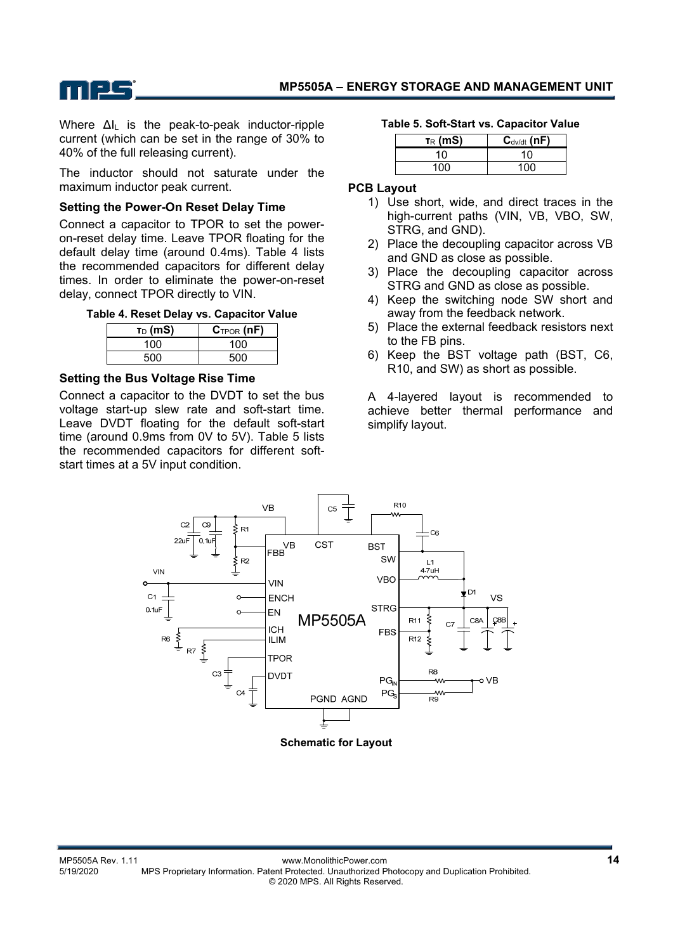

Where ∆IL is the peak-to-peak inductor-ripple current (which can be set in the range of 30% to 40% of the full releasing current).

The inductor should not saturate under the maximum inductor peak current.

#### **Setting the Power-On Reset Delay Time**

Connect a capacitor to TPOR to set the poweron-reset delay time. Leave TPOR floating for the default delay time (around 0.4ms). Table 4 lists the recommended capacitors for different delay times. In order to eliminate the power-on-reset delay, connect TPOR directly to VIN.

|  |  |  | Table 4. Reset Delay vs. Capacitor Value |  |
|--|--|--|------------------------------------------|--|
|--|--|--|------------------------------------------|--|

| $T_D$ (mS) | $C_{TPOR}(nF)$ |
|------------|----------------|
| 100        | 100            |
| 500        | 500            |

#### **Setting the Bus Voltage Rise Time**

Connect a capacitor to the DVDT to set the bus voltage start-up slew rate and soft-start time. Leave DVDT floating for the default soft-start time (around 0.9ms from 0V to 5V). Table 5 lists the recommended capacitors for different softstart times at a 5V input condition.

#### **Table 5. Soft-Start vs. Capacitor Value**

| $T_{R}$ (mS) | $C_{\text{dv/dt}}$ (nF) |  |
|--------------|-------------------------|--|
| 10           | 10                      |  |
| 100          | 1ሰሰ                     |  |

#### **PCB Layout**

- 1) Use short, wide, and direct traces in the high-current paths (VIN, VB, VBO, SW, STRG, and GND).
- 2) Place the decoupling capacitor across VB and GND as close as possible.
- 3) Place the decoupling capacitor across STRG and GND as close as possible.
- 4) Keep the switching node SW short and away from the feedback network.
- 5) Place the external feedback resistors next to the FB pins.
- 6) Keep the BST voltage path (BST, C6, R10, and SW) as short as possible.

A 4-layered layout is recommended to achieve better thermal performance and simplify layout.



**Schematic for Layout**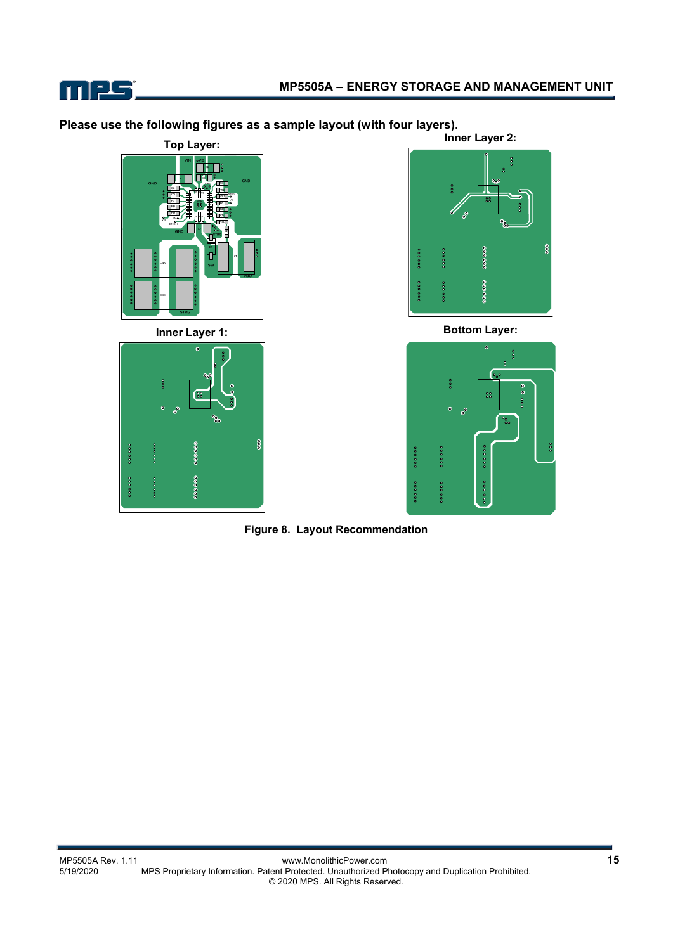

**Please use the following figures as a sample layout (with four layers).** 



**Inner Layer 1:** 





**Bottom Layer:** 



**Figure 8. Layout Recommendation**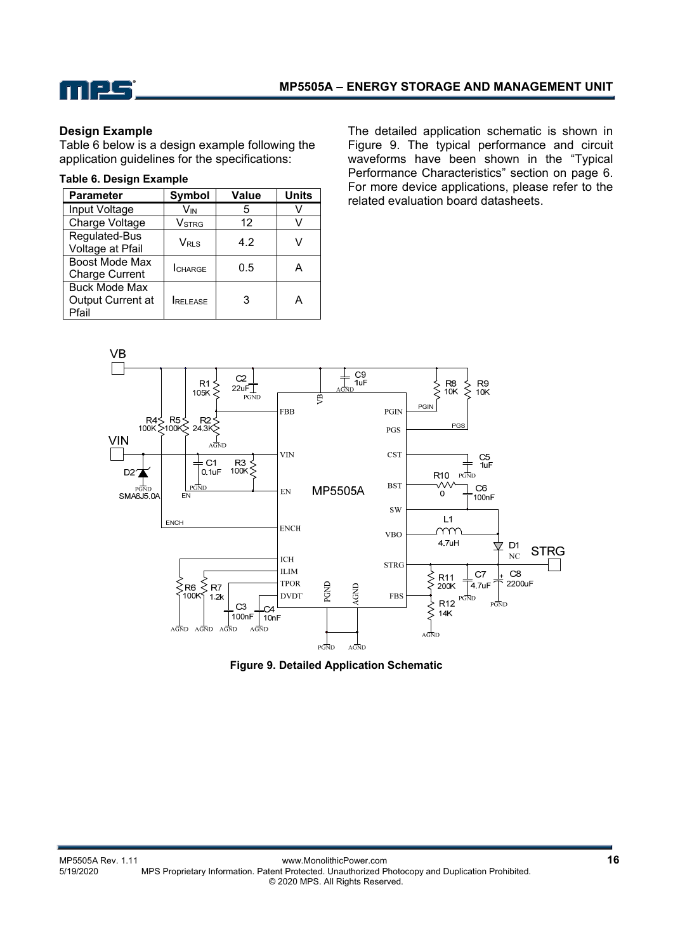

#### **Design Example**

Table 6 below is a design example following the application guidelines for the specifications:

#### **Table 6. Design Example**

| <b>Parameter</b>                                   | Symbol           | <b>Value</b> | <b>Units</b> |
|----------------------------------------------------|------------------|--------------|--------------|
| Input Voltage                                      | V <sub>IN</sub>  | 5            |              |
| Charge Voltage                                     | Vstrg            | 12           | V            |
| Regulated-Bus<br>Voltage at Pfail                  | V <sub>RLS</sub> | 4.2          |              |
| Boost Mode Max<br><b>Charge Current</b>            | <b>I</b> CHARGE  | 0.5          | А            |
| <b>Buck Mode Max</b><br>Output Current at<br>Pfail | RELEASE          | 3            | А            |

The detailed application schematic is shown in Figure 9. The typical performance and circuit waveforms have been shown in the "Typical Performance Characteristics" section on page 6. For more device applications, please refer to the related evaluation board datasheets.



**Figure 9. Detailed Application Schematic**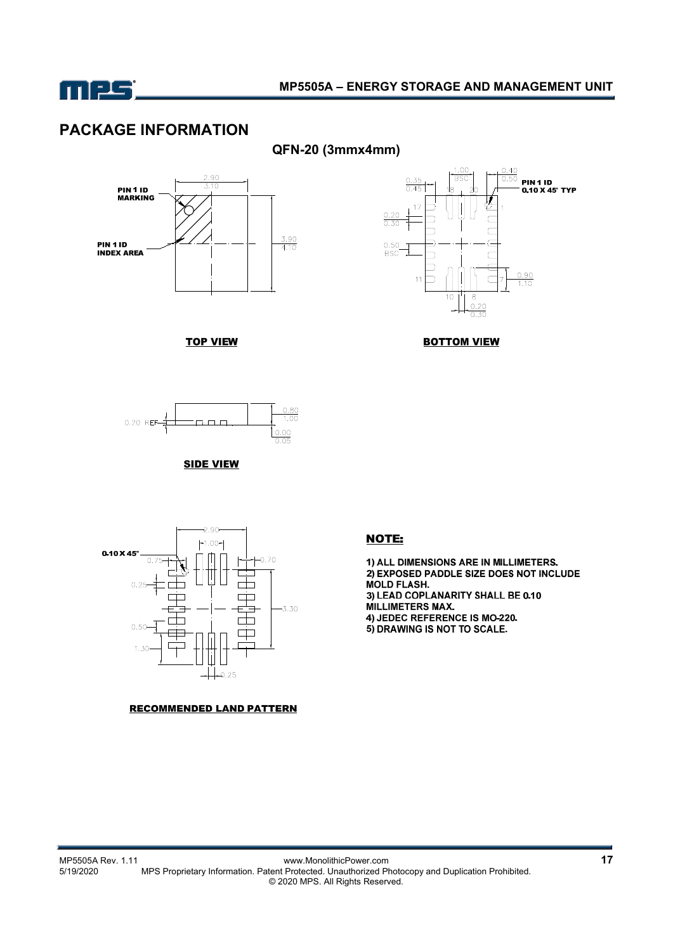

# **PACKAGE INFORMATION**



**TOP VIEW** 



**BOTTOM VIEW** 







#### **RECOMMENDED LAND PATTERN**

### **NOTE:**

1) ALL DIMENSIONS ARE IN MILLIMETERS. 2) EXPOSED PADDLE SIZE DOES NOT INCLUDE **MOLD FLASH.** 3) LEAD COPLANARITY SHALL BE 0.10 MILLIMETERS MAX. 4) JEDEC REFERENCE IS MO-220. 5) DRAWING IS NOT TO SCALE.

MP5505A Rev. 1.11 www.MonolithicPower.com **17** MPS Proprietary Information. Patent Protected. Unauthorized Photocopy and Duplication Prohibited. © 2020 MPS. All Rights Reserved.